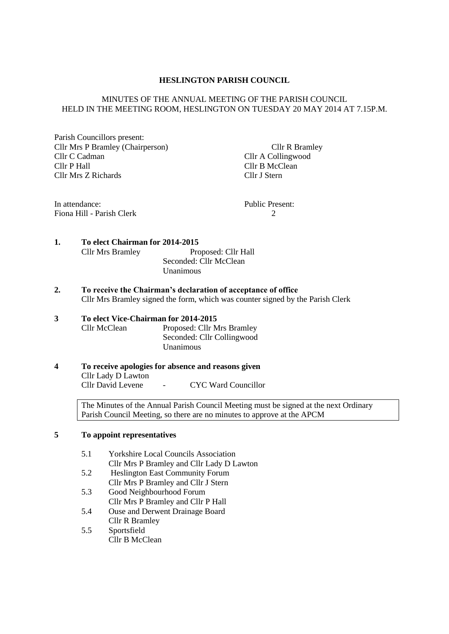### **HESLINGTON PARISH COUNCIL**

### MINUTES OF THE ANNUAL MEETING OF THE PARISH COUNCIL HELD IN THE MEETING ROOM, HESLINGTON ON TUESDAY 20 MAY 2014 AT 7.15P.M.

Parish Councillors present: Cllr Mrs P Bramley (Chairperson) Cllr R Bramley Cllr C Cadman Cllr A Collingwood Cllr P Hall Cllr B McClean Cllr Mrs Z Richards Cllr J Stern

In attendance: Public Present: Fiona Hill - Parish Clerk 2

# **1. To elect Chairman for 2014-2015**

| <b>Cllr Mrs Bramley</b> | Proposed: Cllr Hall    |
|-------------------------|------------------------|
|                         | Seconded: Cllr McClean |
|                         | Unanimous              |

**2. To receive the Chairman's declaration of acceptance of office** Cllr Mrs Bramley signed the form, which was counter signed by the Parish Clerk

### **3 To elect Vice-Chairman for 2014-2015** Cllr McClean Proposed: Cllr Mrs Bramley

Seconded: Cllr Collingwood Unanimous

**4 To receive apologies for absence and reasons given** Cllr Lady D Lawton Cllr David Levene - CYC Ward Councillor

> The Minutes of the Annual Parish Council Meeting must be signed at the next Ordinary Parish Council Meeting, so there are no minutes to approve at the APCM

### **5 To appoint representatives**

- 5.1 Yorkshire Local Councils Association Cllr Mrs P Bramley and Cllr Lady D Lawton
- 5.2 Heslington East Community Forum Cllr Mrs P Bramley and Cllr J Stern
- 5.3 Good Neighbourhood Forum Cllr Mrs P Bramley and Cllr P Hall
- 5.4 Ouse and Derwent Drainage Board Cllr R Bramley
- 5.5 Sportsfield Cllr B McClean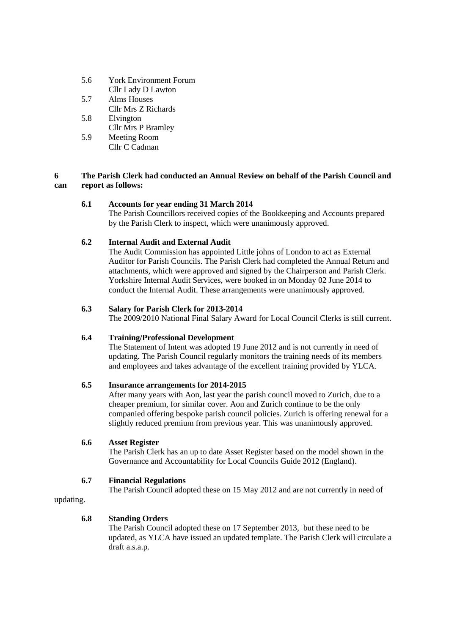- 5.6 York Environment Forum
- Cllr Lady D Lawton 5.7 Alms Houses Cllr Mrs Z Richards
- 5.8 Elvington Cllr Mrs P Bramley
- 5.9 Meeting Room Cllr C Cadman

## **6 The Parish Clerk had conducted an Annual Review on behalf of the Parish Council and can report as follows:**

## **6.1 Accounts for year ending 31 March 2014**

The Parish Councillors received copies of the Bookkeeping and Accounts prepared by the Parish Clerk to inspect, which were unanimously approved.

## **6.2 Internal Audit and External Audit**

The Audit Commission has appointed Little johns of London to act as External Auditor for Parish Councils. The Parish Clerk had completed the Annual Return and attachments, which were approved and signed by the Chairperson and Parish Clerk. Yorkshire Internal Audit Services, were booked in on Monday 02 June 2014 to conduct the Internal Audit. These arrangements were unanimously approved.

## **6.3 Salary for Parish Clerk for 2013-2014**

The 2009/2010 National Final Salary Award for Local Council Clerks is still current.

## **6.4 Training/Professional Development**

The Statement of Intent was adopted 19 June 2012 and is not currently in need of updating. The Parish Council regularly monitors the training needs of its members and employees and takes advantage of the excellent training provided by YLCA.

## **6.5 Insurance arrangements for 2014-2015**

After many years with Aon, last year the parish council moved to Zurich, due to a cheaper premium, for similar cover. Aon and Zurich continue to be the only companied offering bespoke parish council policies. Zurich is offering renewal for a slightly reduced premium from previous year. This was unanimously approved.

## **6.6 Asset Register**

The Parish Clerk has an up to date Asset Register based on the model shown in the Governance and Accountability for Local Councils Guide 2012 (England).

## **6.7 Financial Regulations**

The Parish Council adopted these on 15 May 2012 and are not currently in need of

updating.

## **6.8 Standing Orders**

The Parish Council adopted these on 17 September 2013, but these need to be updated, as YLCA have issued an updated template. The Parish Clerk will circulate a draft a.s.a.p.